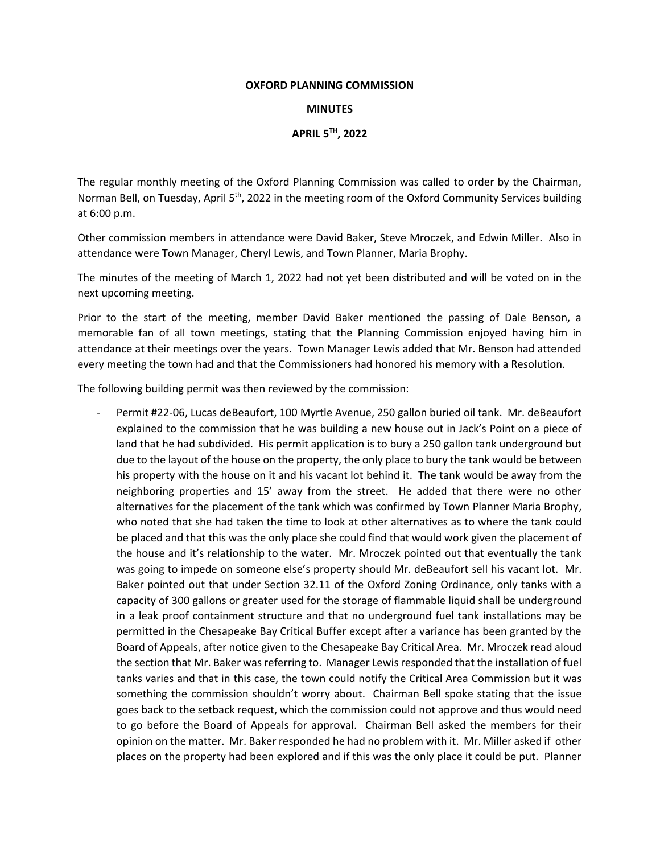### **OXFORD PLANNING COMMISSION**

## **MINUTES**

## **APRIL 5TH, 2022**

The regular monthly meeting of the Oxford Planning Commission was called to order by the Chairman, Norman Bell, on Tuesday, April 5<sup>th</sup>, 2022 in the meeting room of the Oxford Community Services building at 6:00 p.m.

Other commission members in attendance were David Baker, Steve Mroczek, and Edwin Miller. Also in attendance were Town Manager, Cheryl Lewis, and Town Planner, Maria Brophy.

The minutes of the meeting of March 1, 2022 had not yet been distributed and will be voted on in the next upcoming meeting.

Prior to the start of the meeting, member David Baker mentioned the passing of Dale Benson, a memorable fan of all town meetings, stating that the Planning Commission enjoyed having him in attendance at their meetings over the years. Town Manager Lewis added that Mr. Benson had attended every meeting the town had and that the Commissioners had honored his memory with a Resolution.

The following building permit was then reviewed by the commission:

Permit #22-06, Lucas deBeaufort, 100 Myrtle Avenue, 250 gallon buried oil tank. Mr. deBeaufort explained to the commission that he was building a new house out in Jack's Point on a piece of land that he had subdivided. His permit application is to bury a 250 gallon tank underground but due to the layout of the house on the property, the only place to bury the tank would be between his property with the house on it and his vacant lot behind it. The tank would be away from the neighboring properties and 15' away from the street. He added that there were no other alternatives for the placement of the tank which was confirmed by Town Planner Maria Brophy, who noted that she had taken the time to look at other alternatives as to where the tank could be placed and that this was the only place she could find that would work given the placement of the house and it's relationship to the water. Mr. Mroczek pointed out that eventually the tank was going to impede on someone else's property should Mr. deBeaufort sell his vacant lot. Mr. Baker pointed out that under Section 32.11 of the Oxford Zoning Ordinance, only tanks with a capacity of 300 gallons or greater used for the storage of flammable liquid shall be underground in a leak proof containment structure and that no underground fuel tank installations may be permitted in the Chesapeake Bay Critical Buffer except after a variance has been granted by the Board of Appeals, after notice given to the Chesapeake Bay Critical Area. Mr. Mroczek read aloud the section that Mr. Baker was referring to. Manager Lewis responded that the installation of fuel tanks varies and that in this case, the town could notify the Critical Area Commission but it was something the commission shouldn't worry about. Chairman Bell spoke stating that the issue goes back to the setback request, which the commission could not approve and thus would need to go before the Board of Appeals for approval. Chairman Bell asked the members for their opinion on the matter. Mr. Baker responded he had no problem with it. Mr. Miller asked if other places on the property had been explored and if this was the only place it could be put. Planner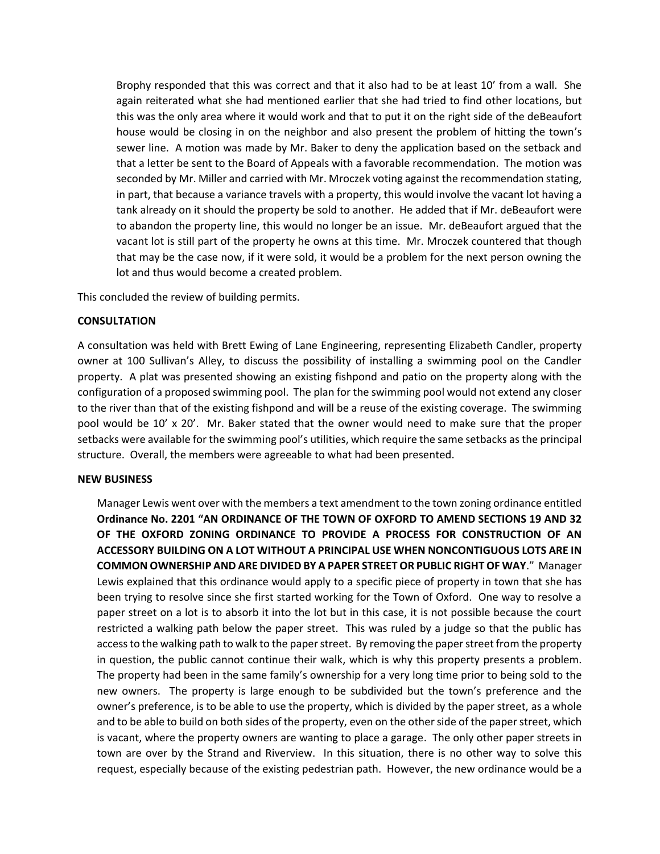Brophy responded that this was correct and that it also had to be at least 10' from a wall. She again reiterated what she had mentioned earlier that she had tried to find other locations, but this was the only area where it would work and that to put it on the right side of the deBeaufort house would be closing in on the neighbor and also present the problem of hitting the town's sewer line. A motion was made by Mr. Baker to deny the application based on the setback and that a letter be sent to the Board of Appeals with a favorable recommendation. The motion was seconded by Mr. Miller and carried with Mr. Mroczek voting against the recommendation stating, in part, that because a variance travels with a property, this would involve the vacant lot having a tank already on it should the property be sold to another. He added that if Mr. deBeaufort were to abandon the property line, this would no longer be an issue. Mr. deBeaufort argued that the vacant lot is still part of the property he owns at this time. Mr. Mroczek countered that though that may be the case now, if it were sold, it would be a problem for the next person owning the lot and thus would become a created problem.

This concluded the review of building permits.

# **CONSULTATION**

A consultation was held with Brett Ewing of Lane Engineering, representing Elizabeth Candler, property owner at 100 Sullivan's Alley, to discuss the possibility of installing a swimming pool on the Candler property. A plat was presented showing an existing fishpond and patio on the property along with the configuration of a proposed swimming pool. The plan for the swimming pool would not extend any closer to the river than that of the existing fishpond and will be a reuse of the existing coverage. The swimming pool would be 10' x 20'. Mr. Baker stated that the owner would need to make sure that the proper setbacks were available for the swimming pool's utilities, which require the same setbacks as the principal structure. Overall, the members were agreeable to what had been presented.

## **NEW BUSINESS**

Manager Lewis went over with the members a text amendment to the town zoning ordinance entitled **Ordinance No. 2201 "AN ORDINANCE OF THE TOWN OF OXFORD TO AMEND SECTIONS 19 AND 32 OF THE OXFORD ZONING ORDINANCE TO PROVIDE A PROCESS FOR CONSTRUCTION OF AN ACCESSORY BUILDING ON A LOT WITHOUT A PRINCIPAL USE WHEN NONCONTIGUOUS LOTS ARE IN COMMON OWNERSHIP AND ARE DIVIDED BY A PAPER STREET OR PUBLIC RIGHT OF WAY**." Manager Lewis explained that this ordinance would apply to a specific piece of property in town that she has been trying to resolve since she first started working for the Town of Oxford. One way to resolve a paper street on a lot is to absorb it into the lot but in this case, it is not possible because the court restricted a walking path below the paper street. This was ruled by a judge so that the public has access to the walking path to walk to the paper street. By removing the paper street from the property in question, the public cannot continue their walk, which is why this property presents a problem. The property had been in the same family's ownership for a very long time prior to being sold to the new owners. The property is large enough to be subdivided but the town's preference and the owner's preference, is to be able to use the property, which is divided by the paper street, as a whole and to be able to build on both sides of the property, even on the other side of the paper street, which is vacant, where the property owners are wanting to place a garage. The only other paper streets in town are over by the Strand and Riverview. In this situation, there is no other way to solve this request, especially because of the existing pedestrian path. However, the new ordinance would be a